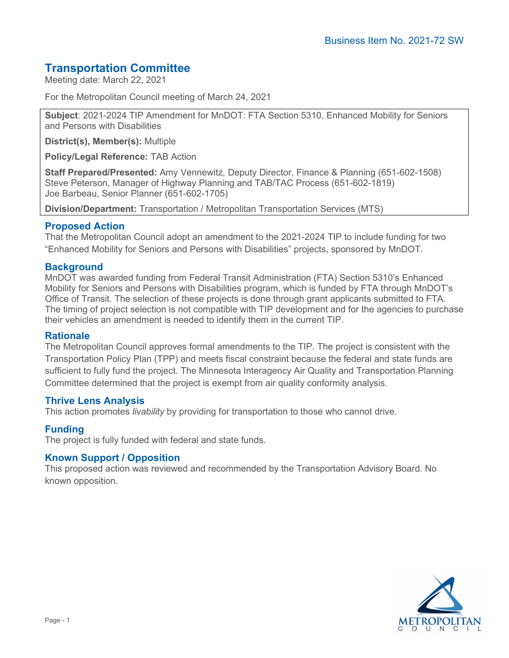# **Transportation Committee**

Meeting date: March 22, 2021

For the Metropolitan Council meeting of March 24, 2021

**Subject**: 2021-2024 TIP Amendment for MnDOT: FTA Section 5310, Enhanced Mobility for Seniors and Persons with Disabilities

**District(s), Member(s):** Multiple

**Policy/Legal Reference:** TAB Action

**Staff Prepared/Presented:** Amy Vennewitz, Deputy Director, Finance & Planning (651-602-1508) Steve Peterson, Manager of Highway Planning and TAB/TAC Process (651-602-1819) Joe Barbeau, Senior Planner (651-602-1705)

**Division/Department:** Transportation / Metropolitan Transportation Services (MTS)

# **Proposed Action**

That the Metropolitan Council adopt an amendment to the 2021-2024 TIP to include funding for two "Enhanced Mobility for Seniors and Persons with Disabilities" projects, sponsored by MnDOT.

# **Background**

MnDOT was awarded funding from Federal Transit Administration (FTA) Section 5310's Enhanced Mobility for Seniors and Persons with Disabilities program, which is funded by FTA through MnDOT's Office of Transit. The selection of these projects is done through grant applicants submitted to FTA. The timing of project selection is not compatible with TIP development and for the agencies to purchase their vehicles an amendment is needed to identify them in the current TIP.

### **Rationale**

The Metropolitan Council approves formal amendments to the TIP. The project is consistent with the Transportation Policy Plan (TPP) and meets fiscal constraint because the federal and state funds are sufficient to fully fund the project. The Minnesota Interagency Air Quality and Transportation Planning Committee determined that the project is exempt from air quality conformity analysis.

### **Thrive Lens Analysis**

This action promotes *livability* by providing for transportation to those who cannot drive.

### **Funding**

The project is fully funded with federal and state funds.

### **Known Support / Opposition**

This proposed action was reviewed and recommended by the Transportation Advisory Board. No known opposition.

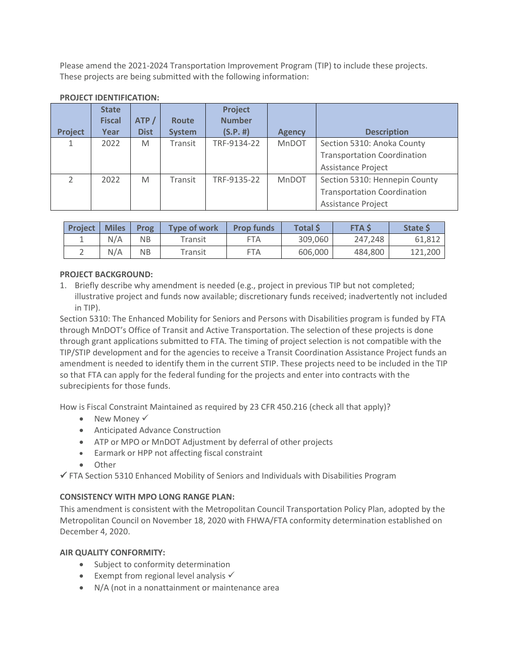Please amend the 2021-2024 Transportation Improvement Program (TIP) to include these projects. These projects are being submitted with the following information:

| <b>Project</b> | <b>State</b><br><b>Fiscal</b><br>Year | ATP/<br><b>Dist</b> | <b>Route</b><br><b>System</b> | Project<br><b>Number</b><br>(S.P.  #) | <b>Agency</b> | <b>Description</b>                 |
|----------------|---------------------------------------|---------------------|-------------------------------|---------------------------------------|---------------|------------------------------------|
|                |                                       |                     |                               |                                       |               |                                    |
|                | 2022                                  | M                   | Transit                       | TRF-9134-22                           | MnDOT         | Section 5310: Anoka County         |
|                |                                       |                     |                               |                                       |               | <b>Transportation Coordination</b> |
|                |                                       |                     |                               |                                       |               | <b>Assistance Project</b>          |
| $\mathcal{P}$  | 2022                                  | M                   | Transit                       | TRF-9135-22                           | <b>MnDOT</b>  | Section 5310: Hennepin County      |
|                |                                       |                     |                               |                                       |               | <b>Transportation Coordination</b> |
|                |                                       |                     |                               |                                       |               | <b>Assistance Project</b>          |

#### **PROJECT IDENTIFICATION:**

| <b>Project</b> | <b>Miles</b> | Prog | <b>Type of work</b>    | <b>Prop funds</b> | <b>Total S</b> | <b>FTA S</b> | <b>State S</b> |
|----------------|--------------|------|------------------------|-------------------|----------------|--------------|----------------|
|                | N/A          | NΒ   | $^{\mathsf{r}}$ ransit | FTA               | 309,060        | 247.248      | 61,812         |
|                | N/A          | NΒ   | $^\mathsf{r}$ ansit    | FTA               | 606,000        | 484,800      | 121,200        |

# **PROJECT BACKGROUND:**

1. Briefly describe why amendment is needed (e.g., project in previous TIP but not completed; illustrative project and funds now available; discretionary funds received; inadvertently not included in TIP).

Section 5310: The Enhanced Mobility for Seniors and Persons with Disabilities program is funded by FTA through MnDOT's Office of Transit and Active Transportation. The selection of these projects is done through grant applications submitted to FTA. The timing of project selection is not compatible with the TIP/STIP development and for the agencies to receive a Transit Coordination Assistance Project funds an amendment is needed to identify them in the current STIP. These projects need to be included in the TIP so that FTA can apply for the federal funding for the projects and enter into contracts with the subrecipients for those funds.

How is Fiscal Constraint Maintained as required by 23 CFR 450.216 (check all that apply)?

- New Money  $\checkmark$
- Anticipated Advance Construction
- ATP or MPO or MnDOT Adjustment by deferral of other projects
- Earmark or HPP not affecting fiscal constraint
- Other

 $\checkmark$  FTA Section 5310 Enhanced Mobility of Seniors and Individuals with Disabilities Program

### **CONSISTENCY WITH MPO LONG RANGE PLAN:**

This amendment is consistent with the Metropolitan Council Transportation Policy Plan, adopted by the Metropolitan Council on November 18, 2020 with FHWA/FTA conformity determination established on December 4, 2020.

#### **AIR QUALITY CONFORMITY:**

- Subject to conformity determination
- Exempt from regional level analysis  $\checkmark$
- N/A (not in a nonattainment or maintenance area